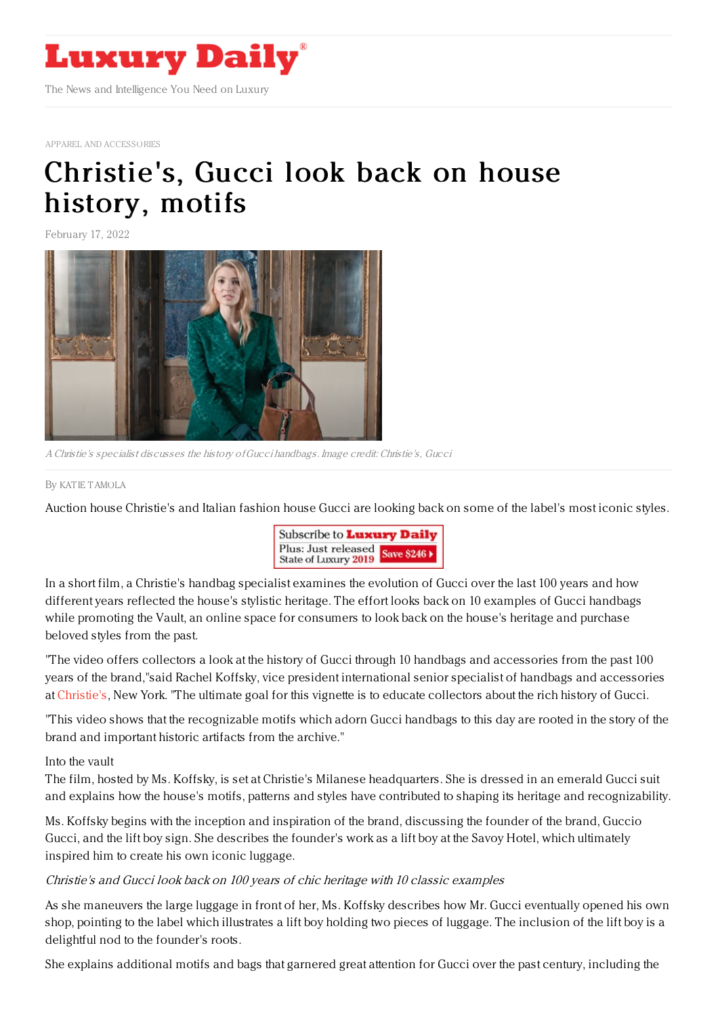

APPAREL AND [ACCESSORIES](https://www.luxurydaily.com/category/sectors/apparel-and-accessories)

## [Christie's,](https://www.luxurydaily.com/christies-gucci-look-back-on-house-history-motifs-and-heritage/) Gucci look back on house history, motifs

February 17, 2022



A Christie's specialist discusses the history ofGucci handbags. Image credit: Christie's, Gucci

By KAT IE [TAMOLA](file:///author/katie-tamola)

Auction house Christie's and Italian fashion house Gucci are looking back on some of the label's most iconic styles.



In a short film, a Christie's handbag specialist examines the evolution of Gucci over the last 100 years and how different years reflected the house's stylistic heritage. The effort looks back on 10 examples of Gucci handbags while promoting the Vault, an online space for consumers to look back on the house's heritage and purchase beloved styles from the past.

"The video offers collectors a look at the history of Gucci through 10 handbags and accessories from the past 100 years of the brand,"said Rachel Koffsky, vice president international senior specialist of handbags and accessories at [Christie's](https://www.christies.com/), New York. "The ultimate goal for this vignette is to educate collectors about the rich history of Gucci.

"This video shows that the recognizable motifs which adorn Gucci handbags to this day are rooted in the story of the brand and important historic artifacts from the archive."

Into the vault

The film, hosted by Ms. Koffsky, is set at Christie's Milanese headquarters. She is dressed in an emerald Gucci suit and explains how the house's motifs, patterns and styles have contributed to shaping its heritage and recognizability.

Ms. Koffsky begins with the inception and inspiration of the brand, discussing the founder of the brand, Guccio Gucci, and the lift boy sign. She describes the founder's work as a lift boy at the Savoy Hotel, which ultimately inspired him to create his own iconic luggage.

## Christie's and Gucci look back on 100 years of chic heritage with 10 classic examples

As she maneuvers the large luggage in front of her, Ms. Koffsky describes how Mr. Gucci eventually opened his own shop, pointing to the label which illustrates a lift boy holding two pieces of luggage. The inclusion of the lift boy is a delightful nod to the founder's roots.

She explains additional motifs and bags that garnered great attention for Gucci over the past century, including the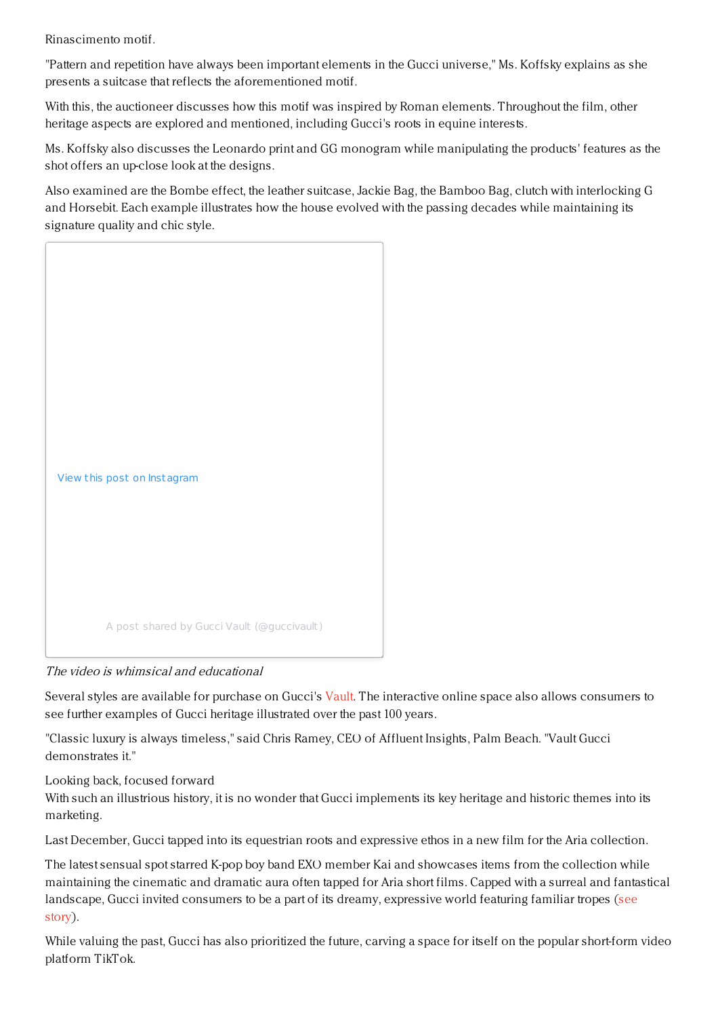Rinascimento motif.

"Pattern and repetition have always been important elements in the Gucci universe," Ms. Koffsky explains as she presents a suitcase that reflects the aforementioned motif.

With this, the auctioneer discusses how this motif was inspired by Roman elements. Throughout the film, other heritage aspects are explored and mentioned, including Gucci's roots in equine interests.

Ms. Koffsky also discusses the Leonardo print and GG monogram while manipulating the products' features as the shot offers an up-close look at the designs.

Also examined are the Bombe effect, the leather suitcase, Jackie Bag, the Bamboo Bag, clutch with interlocking G and Horsebit. Each example illustrates how the house evolved with the passing decades while maintaining its signature quality and chic style.



The video is whimsical and educational

Several styles are available for purchase on Gucci's [Vault](https://vault.gucci.com/en-US). The interactive online space also allows consumers to see further examples of Gucci heritage illustrated over the past 100 years.

"Classic luxury is always timeless," said Chris Ramey, CEO of Affluent Insights, Palm Beach. "Vault Gucci demonstrates it"

Looking back, focused forward

With such an illustrious history, it is no wonder that Gucci implements its key heritage and historic themes into its marketing.

Last December, Gucci tapped into its equestrian roots and expressive ethos in a new film for the Aria collection.

The latest sensual spot starred K-pop boy band EXO member Kai and showcases items from the collection while maintaining the cinematic and dramatic aura often tapped for Aria short films. Capped with a surreal and fantastical landscape, Gucci invited [consumers](https://www.luxurydaily.com/gucci-kai-aria-campaign/) to be a part of its dreamy, expressive world featuring familiar tropes (see story).

While valuing the past, Gucci has also prioritized the future, carving a space for itself on the popular short-form video platform TikTok.